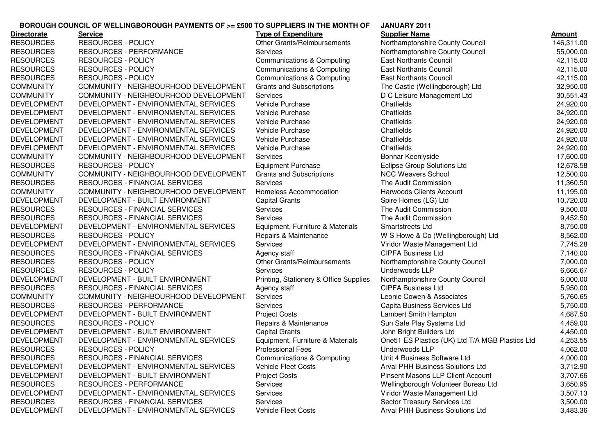## **JANUARY 2011BOROUGH COUNCIL OF WELLINGBOROUGH PAYMENTS OF >= £500 TO SUPPLIERS IN THE MONTH OF**

| <b>Directorate</b> | <b>Service</b>                        | <b>Type of Expenditure</b>             | <b>Supplier Name</b>                            | Amount     |
|--------------------|---------------------------------------|----------------------------------------|-------------------------------------------------|------------|
| <b>RESOURCES</b>   | <b>RESOURCES - POLICY</b>             | Other Grants/Reimbursements            | Northamptonshire County Council                 | 146,311.00 |
| <b>RESOURCES</b>   | RESOURCES - PERFORMANCE               | <b>Services</b>                        | Northamptonshire County Council                 | 55,000.00  |
| <b>RESOURCES</b>   | <b>RESOURCES - POLICY</b>             | Communications & Computing             | <b>East Northants Council</b>                   | 42,115.00  |
| <b>RESOURCES</b>   | <b>RESOURCES - POLICY</b>             | Communications & Computing             | <b>East Northants Council</b>                   | 42,115.00  |
| <b>RESOURCES</b>   | <b>RESOURCES - POLICY</b>             | <b>Communications &amp; Computing</b>  | <b>East Northants Council</b>                   | 42,115.00  |
| <b>COMMUNITY</b>   | COMMUNITY - NEIGHBOURHOOD DEVELOPMENT | <b>Grants and Subscriptions</b>        | The Castle (Wellingborough) Ltd                 | 32,950.00  |
| <b>COMMUNITY</b>   | COMMUNITY - NEIGHBOURHOOD DEVELOPMENT | <b>Services</b>                        | D C Leisure Management Ltd                      | 30,551.43  |
| <b>DEVELOPMENT</b> | DEVELOPMENT - ENVIRONMENTAL SERVICES  | Vehicle Purchase                       | Chatfields                                      | 24,920.00  |
| <b>DEVELOPMENT</b> | DEVELOPMENT - ENVIRONMENTAL SERVICES  | <b>Vehicle Purchase</b>                | Chatfields                                      | 24,920.00  |
| <b>DEVELOPMENT</b> | DEVELOPMENT - ENVIRONMENTAL SERVICES  | <b>Vehicle Purchase</b>                | Chatfields                                      | 24,920.00  |
| <b>DEVELOPMENT</b> | DEVELOPMENT - ENVIRONMENTAL SERVICES  | <b>Vehicle Purchase</b>                | Chatfields                                      | 24,920.00  |
| <b>DEVELOPMENT</b> | DEVELOPMENT - ENVIRONMENTAL SERVICES  | <b>Vehicle Purchase</b>                | Chatfields                                      | 24,920.00  |
| <b>DEVELOPMENT</b> | DEVELOPMENT - ENVIRONMENTAL SERVICES  | <b>Vehicle Purchase</b>                | Chatfields                                      | 24,920.00  |
| <b>COMMUNITY</b>   | COMMUNITY - NEIGHBOURHOOD DEVELOPMENT | <b>Services</b>                        | Bonnar Keenlyside                               | 17,600.00  |
| <b>RESOURCES</b>   | <b>RESOURCES - POLICY</b>             | <b>Equipment Purchase</b>              | <b>Eclipse Group Solutions Ltd</b>              | 12,678.58  |
| <b>COMMUNITY</b>   | COMMUNITY - NEIGHBOURHOOD DEVELOPMENT | <b>Grants and Subscriptions</b>        | <b>NCC Weavers School</b>                       | 12,500.00  |
| <b>RESOURCES</b>   | RESOURCES - FINANCIAL SERVICES        | <b>Services</b>                        | The Audit Commission                            | 11,360.50  |
| <b>COMMUNITY</b>   | COMMUNITY - NEIGHBOURHOOD DEVELOPMENT | Homeless Accommodation                 | Harwoods Clients Account                        | 11,195.00  |
| <b>DEVELOPMENT</b> | DEVELOPMENT - BUILT ENVIRONMENT       | <b>Capital Grants</b>                  | Spire Homes (LG) Ltd                            | 10,720.00  |
| <b>RESOURCES</b>   | RESOURCES - FINANCIAL SERVICES        | <b>Services</b>                        | The Audit Commission                            | 9,500.00   |
| <b>RESOURCES</b>   | RESOURCES - FINANCIAL SERVICES        | <b>Services</b>                        | The Audit Commission                            | 9,452.50   |
| <b>DEVELOPMENT</b> | DEVELOPMENT - ENVIRONMENTAL SERVICES  | Equipment, Furniture & Materials       | Smartstreets Ltd                                | 8,750.00   |
| <b>RESOURCES</b>   | <b>RESOURCES - POLICY</b>             | Repairs & Maintenance                  | W S Howe & Co (Wellingborough) Ltd              | 8,562.00   |
| <b>DEVELOPMENT</b> | DEVELOPMENT - ENVIRONMENTAL SERVICES  | <b>Services</b>                        | Viridor Waste Management Ltd                    | 7,745.28   |
| <b>RESOURCES</b>   | RESOURCES - FINANCIAL SERVICES        | Agency staff                           | <b>CIPFA Business Ltd</b>                       | 7,140.00   |
| <b>RESOURCES</b>   | <b>RESOURCES - POLICY</b>             | Other Grants/Reimbursements            | Northamptonshire County Council                 | 7,000.00   |
| <b>RESOURCES</b>   | <b>RESOURCES - POLICY</b>             | <b>Services</b>                        | Underwoods LLP                                  | 6,666.67   |
| <b>DEVELOPMENT</b> | DEVELOPMENT - BUILT ENVIRONMENT       | Printing, Stationery & Office Supplies | Northamptonshire County Council                 | 6,000.00   |
| <b>RESOURCES</b>   | RESOURCES - FINANCIAL SERVICES        | Agency staff                           | <b>CIPFA Business Ltd</b>                       | 5,950.00   |
| <b>COMMUNITY</b>   | COMMUNITY - NEIGHBOURHOOD DEVELOPMENT | <b>Services</b>                        | Leonie Cowen & Associates                       | 5,760.65   |
| <b>RESOURCES</b>   | RESOURCES - PERFORMANCE               | <b>Services</b>                        | Capita Business Services Ltd                    | 5,750.00   |
| <b>DEVELOPMENT</b> | DEVELOPMENT - BUILT ENVIRONMENT       | <b>Project Costs</b>                   | Lambert Smith Hampton                           | 4,687.50   |
| <b>RESOURCES</b>   | <b>RESOURCES - POLICY</b>             | Repairs & Maintenance                  | Sun Safe Play Systems Ltd                       | 4,459.00   |
| <b>DEVELOPMENT</b> | DEVELOPMENT - BUILT ENVIRONMENT       | <b>Capital Grants</b>                  | John Bright Builders Ltd                        | 4,450.00   |
| <b>DEVELOPMENT</b> | DEVELOPMENT - ENVIRONMENTAL SERVICES  | Equipment, Furniture & Materials       | One51 ES Plastics (UK) Ltd T/A MGB Plastics Ltd | 4,253.55   |
| <b>RESOURCES</b>   | <b>RESOURCES - POLICY</b>             | <b>Professional Fees</b>               | Underwoods LLP                                  | 4,062.00   |
| <b>RESOURCES</b>   | <b>RESOURCES - FINANCIAL SERVICES</b> | Communications & Computing             | Unit 4 Business Software Ltd                    | 4,000.00   |
| <b>DEVELOPMENT</b> | DEVELOPMENT - ENVIRONMENTAL SERVICES  | <b>Vehicle Fleet Costs</b>             | <b>Arval PHH Business Solutions Ltd</b>         | 3,712.90   |
| <b>DEVELOPMENT</b> | DEVELOPMENT - BUILT ENVIRONMENT       | <b>Project Costs</b>                   | <b>Pinsent Masons LLP Client Account</b>        | 3,707.66   |
| <b>RESOURCES</b>   | RESOURCES - PERFORMANCE               | Services                               | Wellingborough Volunteer Bureau Ltd             | 3,650.95   |
| <b>DEVELOPMENT</b> | DEVELOPMENT - ENVIRONMENTAL SERVICES  | <b>Services</b>                        | Viridor Waste Management Ltd                    | 3,507.13   |
| <b>RESOURCES</b>   | RESOURCES - FINANCIAL SERVICES        | <b>Services</b>                        | Sector Treasury Services Ltd                    | 3,500.00   |
| <b>DEVELOPMENT</b> | DEVELOPMENT - ENVIRONMENTAL SERVICES  | Vehicle Fleet Costs                    | Arval PHH Business Solutions Ltd                | 3,483.36   |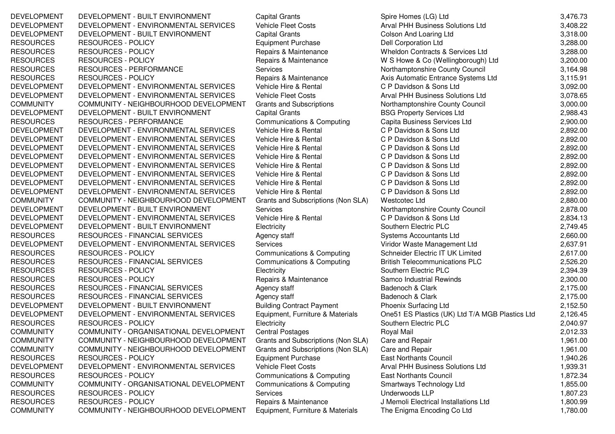DEVELOPMENT DEVELOPMENT - BUILT ENVIRONMENT Capital Grants Spire Homes (LG) Ltd DEVELOPMENT DEVELOPMENT - ENVIRONMENTAL SERVICES Vehicle Fleet Costs DEVELOPMENT DEVELOPMENT - BUILT ENVIRONMENT Capital Grants Capital Grants Colson And Loaring Ltd RESOURCES RESOURCES - POLICY **Equipment Purchase** Dell Corporation Ltd RESOURCES RESOURCES - POLICY Repairs & Maintenance Wheldon Contracts & Services Ltd 3.288.00 RESOURCES RESOURCES - POLICY Repairs & Maintenance W S Howe & Co (Wellingborough) Ltd 3,200.000 Repairs & Maintenance RESOURCES RESOURCES - PERFORMANCE Services Services Services Northamptonshire County Council<br>RESOURCES RESOURCES - POLICY RESOURCES - RESOURCES RESOURCES RESOURCES RESOURCES RESOURCES - POLICY Repairs & Maintenance Axis Automatic Entrance Systems Ltd DEVELOPMENT DEVELOPMENT - ENVIRONMENTAL SERVICES Vehicle Hire & Rental C P Davidson & Sons Ltd DEVELOPMENT DEVELOPMENT - ENVIRONMENTAL SERVICES Vehicle Fleet Costs Arval PHH Business Solutions Ltd 3,078.65<br>COMMUNITY COMMUNITY - NEIGHBOURHOOD DEVELOPMENT Grants and Subscriptions Northamptonshire County Council COMMUNITY COMMUNITY - NEIGHBOURHOOD DEVELOPMENT Grants and Subscriptions Morthamptonshire County C<br>DEVELOPMENT DEVELOPMENT - BUILT ENVIRONMENT Capital Grants Capital 3,000.000.000.000.000.000.000.000 DEVELOPMENT DEVELOPMENT - BUILT ENVIRONMENT Capital Grants Capital Grants BSG Property Services Ltd DEVELOPMENT<br>2,988.433.433.433.433.433.433.434.433.434.433.434.433.434.434.434.434.434.434.434.434.434.434.434.434.434.434. RESOURCES RESOURCES - PERFORMANCE Communications & Computing DEVELOPMENT DEVELOPMENT - ENVIRONMENTAL SERVICES Vehicle Hire & Rental C P Davidson & Sons Ltd DEVELOPMENT DEVELOPMENT - ENVIRONMENTAL SERVICES Vehicle Hire & Rental C P Davidson & Sons Ltd DEVELOPMENT DEVELOPMENT - ENVIRONMENTAL SERVICES Vehicle Hire & Rental C P Davidson & Sons Ltd DEVELOPMENT DEVELOPMENT - ENVIRONMENTAL SERVICES Vehicle Hire & Rental C P Davidson & Sons Ltd DEVELOPMENT DEVELOPMENT - ENVIRONMENTAL SERVICES Vehicle Hire & Rental CP Davidson & Sons Ltd DEVELOPMENT - ENVIRONMENTAL SERVICES Vehicle Hire & Rental CP Davidson & Sons Ltd DEVELOPMENT DEVELOPMENT - ENVIRONMENTAL SERVICES Vehicle Hire & Rental DEVELOPMENT DEVELOPMENT - ENVIRONMENTAL SERVICES Vehicle Hire & Rental C P Davidson & Sons Ltd DEVELOPMENT DEVELOPMENT - ENVIRONMENTAL SERVICES Vehicle Hire & Rental C P Davidson & Sons Ltd COMMUNITY COMMUNITY - NEIGHBOURHOOD DEVELOPMENT Grants and Subscriptions (Non SLA) Westcotec LtdDEVELOPMENT DEVELOPMENT - BUILT ENVIRONMENT Services DEVELOPMENT DEVELOPMENT - ENVIRONMENTAL SERVICES Vehicle Hire & Rental C P Davidson & Sons Ltd 2,834.134.134.1<br>DEVELOPMENT DEVELOPMENT - BUILT ENVIRONMENT Electricity Electricity Electric PLC DEVELOPMENT DEVELOPMENT - BUILT ENVIRONMENT FLECTRICITY RESOURCES RESOURCES - FINANCIAL SERVICES Agency staff Systems Accountants Ltd 2,660.00 DEVELOPMENT DEVELOPMENT - ENVIRONMENTAL SERVICES Services Services Viridor Waste Management Ltd RESOURCES RESOURCES - POLICY<br>RESOURCES RESOURCES - FINANCIAL SERVICES Communications & Computing British Telecommunications PLC RESOURCES RESOURCES - FINANCIAL SERVICES Communications & Computing British Telecommunications PLC<br>RESOURCES RESOURCES - POLICY Electricity Electricity Southern Electric PLC RESOURCES RESOURCES - POLICY Electricity Electricity Southern Electric PLC<br>RESOURCES RESOURCES - POLICY RESOURCES - RESOURCES RESOURCES RESOURCES RESOURCES RESOURCES - POLICY **Repairs & Maintenance** Samco Industrial Rewinds 2,300.00 RESOURCES RESOURCES - FINANCIAL SERVICES Agency staff and the Badenoch & Clark<br>RESOURCES RESOURCES - FINANCIAL SERVICES Agency staff and Badenoch & Clark RESOURCES - FINANCIAL SERVICES <br>DEVELOPMENT - BUILT ENVIRONMENT Building Contract Payment Phoenix Surfacing DEVELOPMENT DEVELOPMENT - BUILT ENVIRONMENT Building Contract Payment Phoenix Surfacing Ltd DEVELOPMENT DEVELOPMENT - ENVIRONMENTAL SERVICES Equipment, Furniture & Materials RESOURCES RESOURCES - POLICY RESOURCES RESOURCES - POLICY **Electricity** Electricity Southern Electric PLC COMMUNITY COMMUNITY - ORGANISATIONAL DEVELOPMENT Central Postages Royal Mail Royal Mail 2,012.33<br>COMMUNITY COMMUNITY - NEIGHBOURHOOD DEVELOPMENT Grants and Subscriptions (Non SLA) Care and Repair 1,961.00 COMMUNITY COMMUNITY - NEIGHBOURHOOD DEVELOPMENT Grants and Subscriptions (Non SLA) Care and RepairCOMMUNITY COMMUNITY - NEIGHBOURHOOD DEVELOPMENT Grants and Subscriptions (Non SLA) Care and RepairRESOURCES RESOURCES - POLICY **Equipment Purchase East Northants Council** 1,940. DEVELOPMENT DEVELOPMENT - ENVIRONMENTAL SERVICES Vehicle Fleet Costs Arval PHH Business Solutions Ltd RESOURCES RESOURCES - POLICY Communications & Computing East Northants Council COMMUNITY COMMUNITY - ORGANISATIONAL DEVELOPMENT Communications & Computing Smartways Technology Ltd RESOURCES RESOURCES - POLICY Services Services Services Underwoods LLP RESOURCES RESOURCES - POLICY Repairs & Maintenance J Memoli Electrical Installations Ltd 1,800.99<br>COMMUNITY COMMUNITY - NEIGHBOURHOOD DEVELOPMENT Equipment, Furniture & Materials The Enigma Encoding Co Ltd 1,780.00 COMMUNITY COMMUNITY - NEIGHBOURHOOD DEVELOPMENT Equipment, Furniture & Materials The Enigma Encoding Co Ltd

Spire Homes (LG) Ltd<br>
Arval PHH Business Solutions Ltd<br>
3.408.22 3,318.00 d 3,288.00 3.200.00 3.164.98 3.115.91 3,092.00 3.078.65 3,000.00 2.988.43 2,900.00 2,892.00 2,892.00 2.892.00 2.892.00 2,892.00 2,892.00 2,892.00 2.892.00 2.880.00 Northamptonshire County Council **2.878.00** 2.834.13 2.749.45 2,749.45 2.637.91 2.617.00 2.526.20 2.394.39 C 2,394.39 k 2,175.00 k 2,175.00 2,152.50 One51 ES Plastics (UK) Ltd T/A MGB Plastics Ltd 2,126.45 C 2,040.97 r 1,961.00 r 1,961.00 1,940.26 1,939.31 1,872.34 1,855.00 1,807.23 1,780.00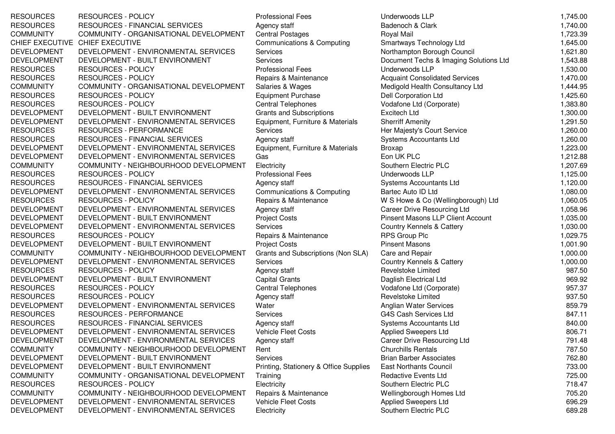RESOURCES RESOURCES - POLICY PRESOURCES PORT PROPERTY RESOURCES RESOURCES RESOURCES - FINANCIAL SERVICES Agency staff COMMUNITY COMMUNITY - ORGANISATIONAL DEVELOPMENT Central Postages CHIEF EXECUTIVE CHIEF EXECUTIVEDEVELOPMENT DEVELOPMENT - ENVIRONMENTAL SERVICES DEVELOPMENT DEVELOPMENT - BUILT ENVIRONMENT Services RESOURCES RESOURCES - POLICY PRESOURCES PORT PROPERTY RESOURCES RESOURCES RESOURCES - POLICY Repairs & Maintenance COMMUNITY COMMUNITY - ORGANISATIONAL DEVELOPMENT Salaries & Wages RESOURCES RESOURCES - POLICY<br>
RESOURCES RESOURCES - POLICY<br>
Central Telephones RESOURCES RESOURCES - POLICY Central Telephones Vodafone Ltd (Corporate) 1,383.80 DEVELOPMENT DEVELOPMENT - BUILT ENVIRONMENT Grants and Subscriptions<br>DEVELOPMENT DEVELOPMENT - ENVIRONMENTAL SERVICES Equipment, Furniture & Materials DEVELOPMENT DEVELOPMENT - ENVIRONMENTAL SERVICES RESOURCES RESOURCES - PERFORMANCE THE Services RESOURCES RESOURCES - FINANCIAL SERVICES Agency staff DEVELOPMENT DEVELOPMENT - ENVIRONMENTAL SERVICES Equipment, Furniture & Materials DEVELOPMENT DEVELOPMENT - ENVIRONMENTAL SERVICES GasCOMMUNITY COMMUNITY - NEIGHBOURHOOD DEVELOPMENT Electricity RESOURCES RESOURCES - POLICY Professional Fees RESOURCES RESOURCES - FINANCIAL SERVICES Agency staff Accountants Agency staff DEVELOPMENT DEVELOPMENT - ENVIRONMENTAL SERVICES Communications & Computing RESOURCES RESOURCES - POLICY **Repairs & Maintenance** W S Howe & Co (Wellingborough) Ltd 1,060.05 DEVELOPMENT DEVELOPMENT - ENVIRONMENTAL SERVICES Agency staff DEVELOPMENT DEVELOPMENT - BUILT ENVIRONMENT Project Costs DEVELOPMENT DEVELOPMENT - ENVIRONMENTAL SERVICES Services RESOURCES RESOURCES - POLICY Repairs & Maintenance<br>DEVELOPMENT DEVELOPMENT - BUILT ENVIRONMENT Project Costs DEVELOPMENT DEVELOPMENT - BUILT ENVIRONMENT Project Costs<br>COMMUNITY COMMUNITY - NEIGHBOURHOOD DEVELOPMENT Grants and Subscriptions (Non SLA) COMMUNITY COMMUNITY - NEIGHBOURHOOD DEVELOPMENT DEVELOPMENT DEVELOPMENT - ENVIRONMENTAL SERVICES Services<br>RESOURCES RESOURCES - POLICY COUNTRY Agency staff RESOURCES RESOURCES - POLICY Agency staff Agency staff Agency staff Agency staff Capital Grants DEVELOPMENT - BUILT ENVIRONMENT Capital Grants<br>RESOURCES - POLICY Capital Telephones RESOURCES RESOURCES - POLICY Central Telephones Vodafone Ltd (Corporate) 957.37 RESOURCES RESOURCES - POLICY RESOURCES Agency staff DEVELOPMENT DEVELOPMENT - ENVIRONMENTAL SERVICES Water RESOURCES RESOURCES - PERFORMANCE Services RESOURCES RESOURCES - FINANCIAL SERVICES Agency staff DEVELOPMENT DEVELOPMENT - ENVIRONMENTAL SERVICES Vehicle Fleet Costs DEVELOPMENT DEVELOPMENT - ENVIRONMENTAL SERVICES Agency staff COMMUNITY COMMUNITY - NEIGHBOURHOOD DEVELOPMENT Rent DEVELOPMENT DEVELOPMENT - BUILT ENVIRONMENT Services<br>DEVELOPMENT DEVELOPMENT - BUILT ENVIRONMENT Printing, Stationery & Office Supplies DEVELOPMENT DEVELOPMENT - BUILT ENVIRONMENT COMMUNITY COMMUNITY - ORGANISATIONAL DEVELOPMENT Training RESOURCES RESOURCES - POLICY **Electricity** Southern Electricity COMMUNITY COMMUNITY - NEIGHBOURHOOD DEVELOPMENT Repairs & Maintenance DEVELOPMENT DEVELOPMENT - ENVIRONMENTAL SERVICES Vehicle Fleet Costs DEVELOPMENT DEVELOPMENT - ENVIRONMENTAL SERVICES Electricity

Communications & Computing<br>Services s Eon UK PLC

| Underwoods LLP                           | 1,745.00 |
|------------------------------------------|----------|
| Badenoch & Clark                         | 1,740.00 |
| Royal Mail                               | 1,723.39 |
| Smartways Technology Ltd                 | 1,645.00 |
| Northampton Borough Council              | 1,621.80 |
| Document Techs & Imaging Solutions Ltd   | 1,543.88 |
| Underwoods LLP                           | 1,530.00 |
| <b>Acquaint Consolidated Services</b>    | 1,470.00 |
| Medigold Health Consultancy Ltd          | 1,444.95 |
| <b>Dell Corporation Ltd</b>              | 1,425.60 |
| Vodafone Ltd (Corporate)                 | 1,383.80 |
| <b>Excitech Ltd</b>                      | 1,300.00 |
| <b>Sherriff Amenity</b>                  | 1,291.50 |
| Her Majesty's Court Service              | 1,260.00 |
| <b>Systems Accountants Ltd</b>           | 1,260.00 |
| <b>Broxap</b>                            | 1,223.00 |
| Eon UK PLC                               | 1,212.88 |
| Southern Electric PLC                    | 1,207.69 |
| Underwoods LLP                           | 1,125.00 |
| <b>Systems Accountants Ltd</b>           | 1,120.00 |
| Bartec Auto ID Ltd                       | 1,080.00 |
| W S Howe & Co (Wellingborough) Ltd       | 1,060.05 |
| Career Drive Resourcing Ltd              | 1,058.96 |
| <b>Pinsent Masons LLP Client Account</b> | 1,035.00 |
| Country Kennels & Cattery                | 1,030.00 |
| <b>RPS Group Plc</b>                     | 1,029.75 |
| <b>Pinsent Masons</b>                    | 1,001.90 |
| Care and Repair                          | 1,000.00 |
| Country Kennels & Cattery                | 1,000.00 |
| Revelstoke Limited                       | 987.50   |
| Daglish Electrical Ltd                   | 969.92   |
| Vodafone Ltd (Corporate)                 | 957.37   |
| <b>Revelstoke Limited</b>                | 937.50   |
| Anglian Water Services                   | 859.79   |
| <b>G4S Cash Services Ltd</b>             | 847.11   |
| Systems Accountants Ltd                  | 840.00   |
| <b>Applied Sweepers Ltd</b>              | 806.71   |
| Career Drive Resourcing Ltd              | 791.48   |
| <b>Churchills Rentals</b>                | 787.50   |
| <b>Brian Barber Associates</b>           | 762.80   |
| <b>East Northants Council</b>            | 733.00   |
| <b>Redactive Events Ltd</b>              | 725.00   |
| Southern Electric PLC                    | 718.47   |
| Wellingborough Homes Ltd                 | 705.20   |
| <b>Applied Sweepers Ltd</b>              | 696.29   |
| Southern Electric PLC                    | 689.28   |